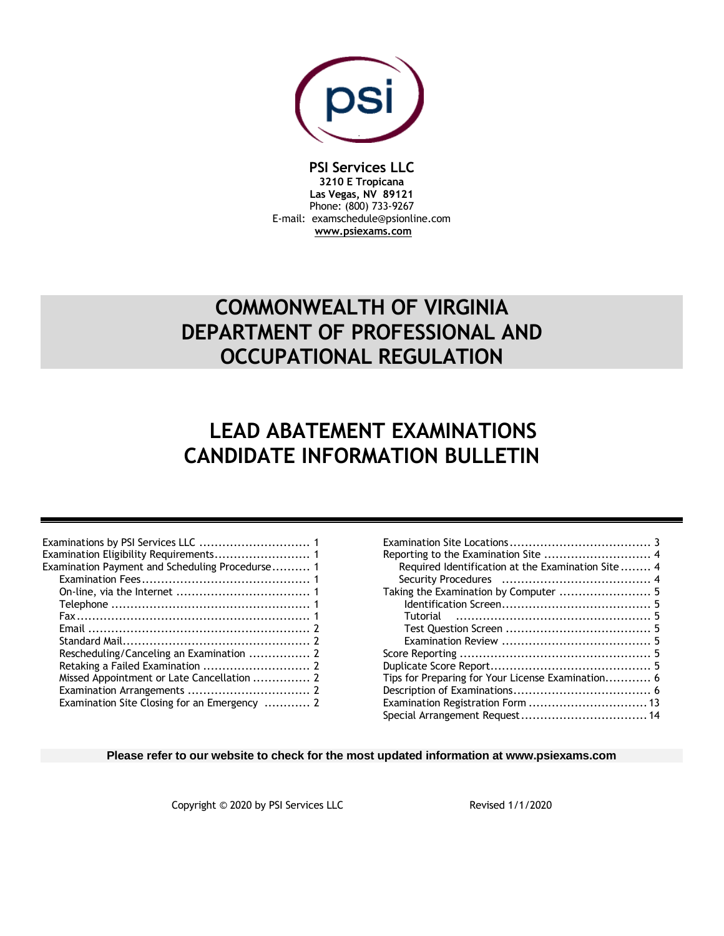

## **PSI Services LLC**

**3210 E Tropicana Las Vegas, NV 89121** Phone: (800) 733-9267 E-mail: examschedule@psionline.com **[www.psiexams.com](http://www.psiexams.com/)**

# **COMMONWEALTH OF VIRGINIA DEPARTMENT OF PROFESSIONAL AND OCCUPATIONAL REGULATION**

# **LEAD ABATEMENT EXAMINATIONS CANDIDATE INFORMATION BULLETIN**

| Examination Eligibility Requirements 1          |  |
|-------------------------------------------------|--|
| Examination Payment and Scheduling Procedurse 1 |  |
|                                                 |  |
|                                                 |  |
|                                                 |  |
|                                                 |  |
|                                                 |  |
|                                                 |  |
|                                                 |  |
|                                                 |  |
|                                                 |  |
|                                                 |  |
| Examination Site Closing for an Emergency  2    |  |

| Required Identification at the Examination Site 4 |  |
|---------------------------------------------------|--|
|                                                   |  |
|                                                   |  |
|                                                   |  |
|                                                   |  |
|                                                   |  |
|                                                   |  |
|                                                   |  |
|                                                   |  |
| Tips for Preparing for Your License Examination 6 |  |
|                                                   |  |
|                                                   |  |
|                                                   |  |

#### **Please refer to our website to check for the most updated information at www.psiexams.com**

Copyright © 2020 by PSI Services LLC Revised 1/1/2020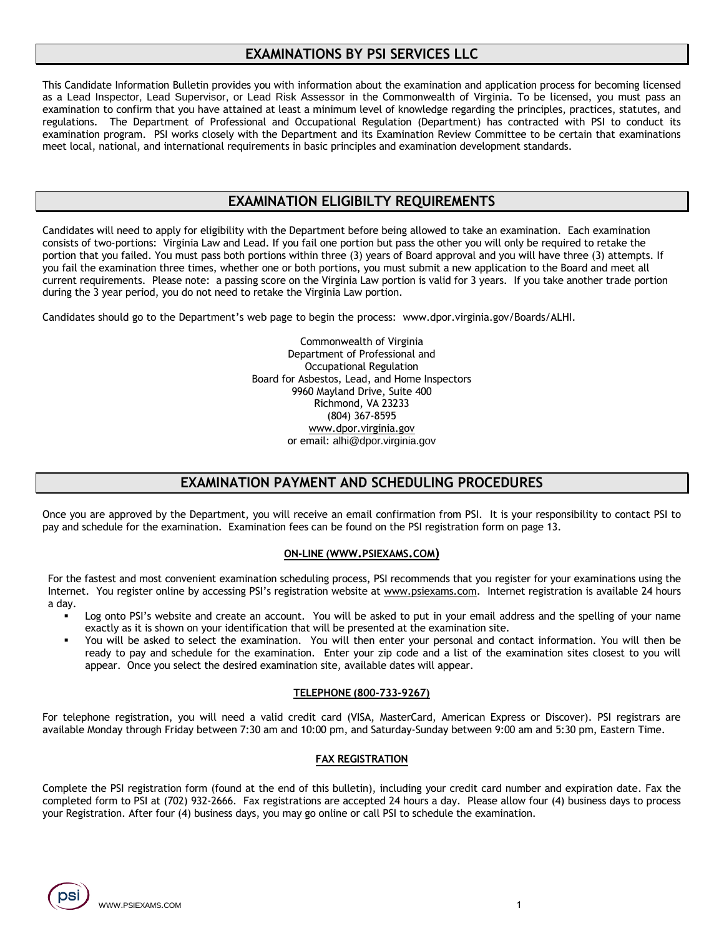## **EXAMINATIONS BY PSI SERVICES LLC**

This Candidate Information Bulletin provides you with information about the examination and application process for becoming licensed as a Lead Inspector, Lead Supervisor, or Lead Risk Assessor in the Commonwealth of Virginia. To be licensed, you must pass an examination to confirm that you have attained at least a minimum level of knowledge regarding the principles, practices, statutes, and regulations. The Department of Professional and Occupational Regulation (Department) has contracted with PSI to conduct its examination program. PSI works closely with the Department and its Examination Review Committee to be certain that examinations meet local, national, and international requirements in basic principles and examination development standards.

## **EXAMINATION ELIGIBILTY REQUIREMENTS**

Candidates will need to apply for eligibility with the Department before being allowed to take an examination. Each examination consists of two-portions: Virginia Law and Lead. If you fail one portion but pass the other you will only be required to retake the portion that you failed. You must pass both portions within three (3) years of Board approval and you will have three (3) attempts. If you fail the examination three times, whether one or both portions, you must submit a new application to the Board and meet all current requirements. Please note: a passing score on the Virginia Law portion is valid for 3 years. If you take another trade portion during the 3 year period, you do not need to retake the Virginia Law portion.

Candidates should go to the Department's web page to begin the process: www.dpor.virginia.gov/Boards/ALHI.

Commonwealth of Virginia Department of Professional and Occupational Regulation Board for Asbestos, Lead, and Home Inspectors 9960 Mayland Drive, Suite 400 Richmond, VA 23233 (804) 367-8595 [www.dpor.virginia.gov](http://www.dpor.virginia.gov/) or email: alhi@dpor.virginia.gov

## **EXAMINATION PAYMENT AND SCHEDULING PROCEDURES**

Once you are approved by the Department, you will receive an email confirmation from PSI. It is your responsibility to contact PSI to pay and schedule for the examination. Examination fees can be found on the PSI registration form on page 13.

#### **ON-LINE (WWW.[PSIEXAMS](http://www.psiexams.com/).COM)**

For the fastest and most convenient examination scheduling process, PSI recommends that you register for your examinations using the Internet. You register online by accessing PSI's registration website at [www.psiexams.com.](http://www.psiexams.com/) Internet registration is available 24 hours a day.

- Log onto PSI's website and create an account. You will be asked to put in your email address and the spelling of your name exactly as it is shown on your identification that will be presented at the examination site.
- You will be asked to select the examination. You will then enter your personal and contact information. You will then be ready to pay and schedule for the examination. Enter your zip code and a list of the examination sites closest to you will appear. Once you select the desired examination site, available dates will appear.

#### **TELEPHONE (800-733-9267)**

For telephone registration, you will need a valid credit card (VISA, MasterCard, American Express or Discover). PSI registrars are available Monday through Friday between 7:30 am and 10:00 pm, and Saturday-Sunday between 9:00 am and 5:30 pm, Eastern Time.

#### **FAX REGISTRATION**

Complete the PSI registration form (found at the end of this bulletin), including your credit card number and expiration date. Fax the completed form to PSI at (702) 932-2666. Fax registrations are accepted 24 hours a day. Please allow four (4) business days to process your Registration. After four (4) business days, you may go online or call PSI to schedule the examination.

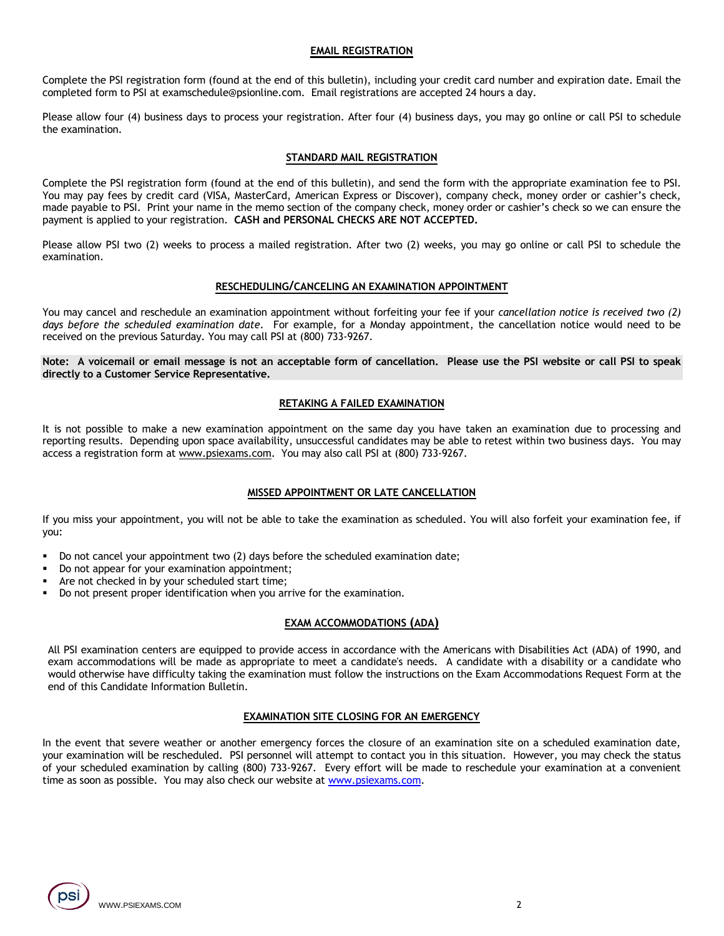#### **EMAIL REGISTRATION**

Complete the PSI registration form (found at the end of this bulletin), including your credit card number and expiration date. Email the completed form to PSI at examschedule@psionline.com. Email registrations are accepted 24 hours a day.

Please allow four (4) business days to process your registration. After four (4) business days, you may go online or call PSI to schedule the examination.

#### **STANDARD MAIL REGISTRATION**

Complete the PSI registration form (found at the end of this bulletin), and send the form with the appropriate examination fee to PSI. You may pay fees by credit card (VISA, MasterCard, American Express or Discover), company check, money order or cashier's check, made payable to PSI. Print your name in the memo section of the company check, money order or cashier's check so we can ensure the payment is applied to your registration. **CASH and PERSONAL CHECKS ARE NOT ACCEPTED.**

Please allow PSI two (2) weeks to process a mailed registration. After two (2) weeks, you may go online or call PSI to schedule the examination.

#### **RESCHEDULING/CANCELING AN EXAMINATION APPOINTMENT**

You may cancel and reschedule an examination appointment without forfeiting your fee if your *cancellation notice is received two (2) days before the scheduled examination date*. For example, for a Monday appointment, the cancellation notice would need to be received on the previous Saturday. You may call PSI at (800) 733-9267.

**Note: A voicemail or email message is not an acceptable form of cancellation. Please use the PSI website or call PSI to speak directly to a Customer Service Representative.** 

#### **RETAKING A FAILED EXAMINATION**

It is not possible to make a new examination appointment on the same day you have taken an examination due to processing and reporting results. Depending upon space availability, unsuccessful candidates may be able to retest within two business days. You may access a registration form at [www.psiexams.com.](http://www.psiexams.com/) You may also call PSI at (800) 733-9267.

#### **MISSED APPOINTMENT OR LATE CANCELLATION**

If you miss your appointment, you will not be able to take the examination as scheduled. You will also forfeit your examination fee, if you:

- Do not cancel your appointment two (2) days before the scheduled examination date;
- Do not appear for your examination appointment;
- Are not checked in by your scheduled start time;
- Do not present proper identification when you arrive for the examination.

#### **EXAM ACCOMMODATIONS (ADA)**

All PSI examination centers are equipped to provide access in accordance with the Americans with Disabilities Act (ADA) of 1990, and exam accommodations will be made as appropriate to meet a candidate's needs. A candidate with a disability or a candidate who would otherwise have difficulty taking the examination must follow the instructions on the Exam Accommodations Request Form at the end of this Candidate Information Bulletin.

#### **EXAMINATION SITE CLOSING FOR AN EMERGENCY**

In the event that severe weather or another emergency forces the closure of an examination site on a scheduled examination date, your examination will be rescheduled. PSI personnel will attempt to contact you in this situation. However, you may check the status of your scheduled examination by calling (800) 733-9267. Every effort will be made to reschedule your examination at a convenient time as soon as possible. You may also check our website a[t www.psiexams.com.](http://www.psiexams.com/)

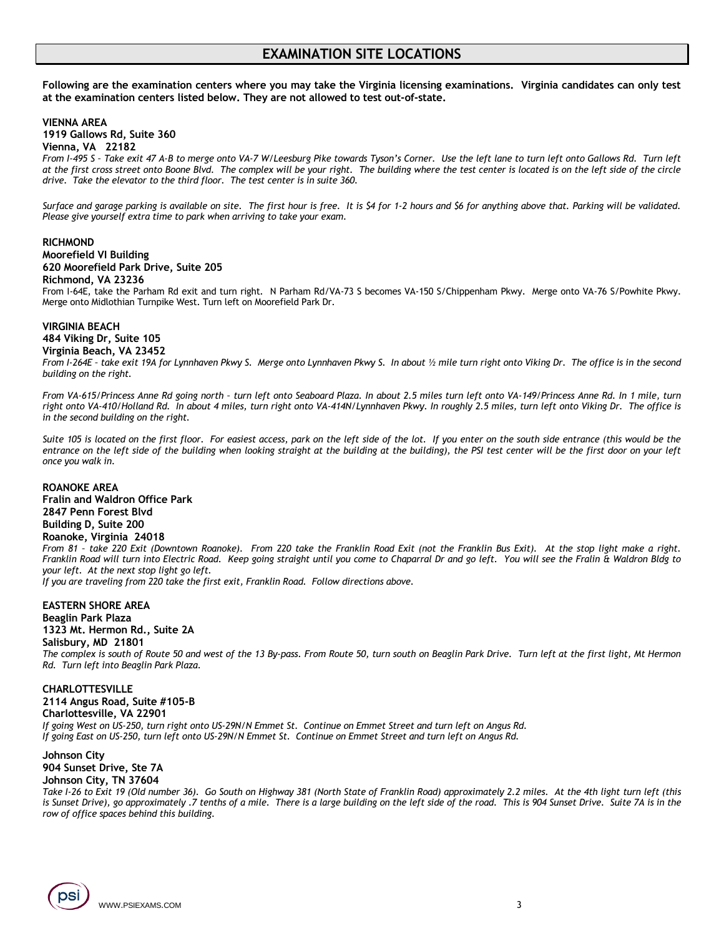## **EXAMINATION SITE LOCATIONS**

**Following are the examination centers where you may take the Virginia licensing examinations. Virginia candidates can only test at the examination centers listed below. They are not allowed to test out-of-state.**

#### **VIENNA AREA**

**1919 Gallows Rd, Suite 360**

#### **Vienna, VA 22182**

*From I-495 S – Take exit 47 A-B to merge onto VA-7 W/Leesburg Pike towards Tyson's Corner. Use the left lane to turn left onto Gallows Rd. Turn left at the first cross street onto Boone Blvd. The complex will be your right. The building where the test center is located is on the left side of the circle drive. Take the elevator to the third floor. The test center is in suite 360.* 

*Surface and garage parking is available on site. The first hour is free. It is \$4 for 1-2 hours and \$6 for anything above that. Parking will be validated. Please give yourself extra time to park when arriving to take your exam.*

#### **RICHMOND**

#### **Moorefield VI Building 620 Moorefield Park Drive, Suite 205**

#### **Richmond, VA 23236**

From I-64E, take the Parham Rd exit and turn right. N Parham Rd/VA-73 S becomes VA-150 S/Chippenham Pkwy. Merge onto VA-76 S/Powhite Pkwy. Merge onto Midlothian Turnpike West. Turn left on Moorefield Park Dr.

## **VIRGINIA BEACH 484 Viking Dr, Suite 105**

#### **Virginia Beach, VA 23452**

*From I-264E – take exit 19A for Lynnhaven Pkwy S. Merge onto Lynnhaven Pkwy S. In about ½ mile turn right onto Viking Dr. The office is in the second building on the right.*

*From VA-615/Princess Anne Rd going north – turn left onto Seaboard Plaza. In about 2.5 miles turn left onto VA-149/Princess Anne Rd. In 1 mile, turn right onto VA-410/Holland Rd. In about 4 miles, turn right onto VA-414N/Lynnhaven Pkwy. In roughly 2.5 miles, turn left onto Viking Dr. The office is in the second building on the right.*

*Suite 105 is located on the first floor. For easiest access, park on the left side of the lot. If you enter on the south side entrance (this would be the entrance on the left side of the building when looking straight at the building at the building), the PSI test center will be the first door on your left once you walk in.*

#### **ROANOKE AREA**

**Fralin and Waldron Office Park 2847 Penn Forest Blvd Building D, Suite 200 Roanoke, Virginia 24018** *From 81 – take 220 Exit (Downtown Roanoke). From 220 take the Franklin Road Exit (not the Franklin Bus Exit). At the stop light make a right. Franklin Road will turn into Electric Road. Keep going straight until you come to Chaparral Dr and go left. You will see the Fralin & Waldron Bldg to your left. At the next stop light go left.* 

*If you are traveling from 220 take the first exit, Franklin Road. Follow directions above.*

#### **EASTERN SHORE AREA Beaglin Park Plaza 1323 Mt. Hermon Rd., Suite 2A Salisbury, MD 21801**

*The complex is south of Route 50 and west of the 13 By-pass. From Route 50, turn south on Beaglin Park Drive. Turn left at the first light, Mt Hermon Rd. Turn left into Beaglin Park Plaza.*

## **CHARLOTTESVILLE**

#### **2114 Angus Road, Suite #105-B**

**Charlottesville, VA 22901**

*If going West on US-250, turn right onto US-29N/N Emmet St. Continue on Emmet Street and turn left on Angus Rd. If going East on US-250, turn left onto US-29N/N Emmet St. Continue on Emmet Street and turn left on Angus Rd.*

#### **Johnson City**

**904 Sunset Drive, Ste 7A Johnson City, TN 37604**

*Take I-26 to Exit 19 (Old number 36). Go South on Highway 381 (North State of Franklin Road) approximately 2.2 miles. At the 4th light turn left (this is Sunset Drive), go approximately .7 tenths of a mile. There is a large building on the left side of the road. This is 904 Sunset Drive. Suite 7A is in the row of office spaces behind this building.*

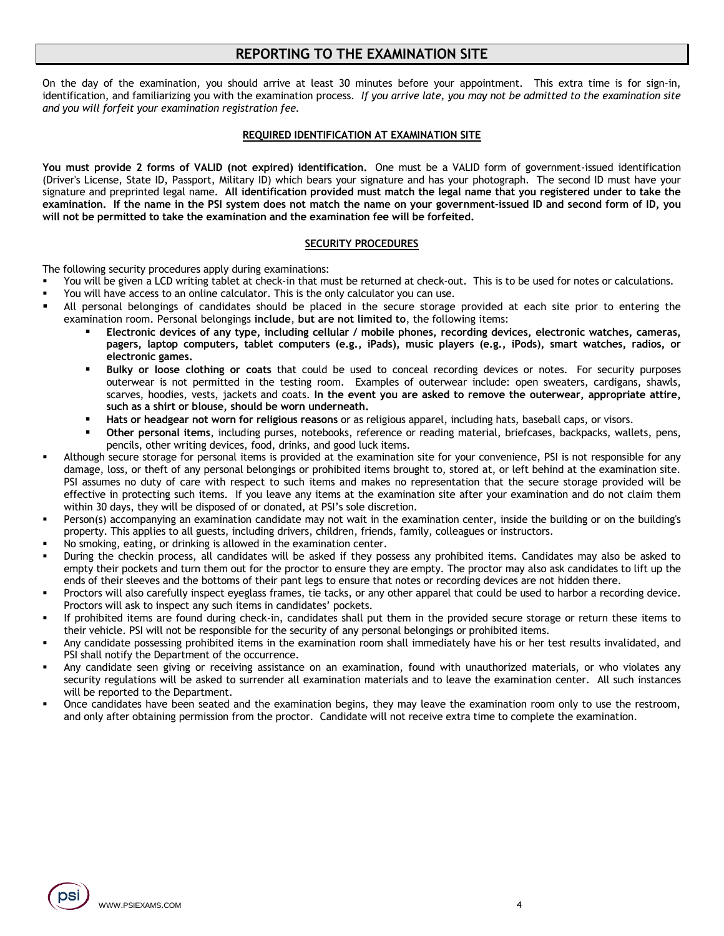## **REPORTING TO THE EXAMINATION SITE**

On the day of the examination, you should arrive at least 30 minutes before your appointment. This extra time is for sign-in, identification, and familiarizing you with the examination process. *If you arrive late, you may not be admitted to the examination site and you will forfeit your examination registration fee.*

#### **REQUIRED IDENTIFICATION AT EXAMINATION SITE**

**You must provide 2 forms of VALID (not expired) identification.** One must be a VALID form of government-issued identification (Driver's License, State ID, Passport, Military ID) which bears your signature and has your photograph. The second ID must have your signature and preprinted legal name. **All identification provided must match the legal name that you registered under to take the examination. If the name in the PSI system does not match the name on your government-issued ID and second form of ID, you will not be permitted to take the examination and the examination fee will be forfeited.**

#### **SECURITY PROCEDURES**

The following security procedures apply during examinations:

- You will be given a LCD writing tablet at check-in that must be returned at check-out. This is to be used for notes or calculations.
- You will have access to an online calculator. This is the only calculator you can use.
- All personal belongings of candidates should be placed in the secure storage provided at each site prior to entering the examination room. Personal belongings **include**, **but are not limited to**, the following items:
	- Electronic devices of any type, including cellular / mobile phones, recording devices, electronic watches, cameras, **pagers, laptop computers, tablet computers (e.g., iPads), music players (e.g., iPods), smart watches, radios, or electronic games.**
	- **Bulky or loose clothing or coats** that could be used to conceal recording devices or notes. For security purposes outerwear is not permitted in the testing room. Examples of outerwear include: open sweaters, cardigans, shawls, scarves, hoodies, vests, jackets and coats. **In the event you are asked to remove the outerwear, appropriate attire, such as a shirt or blouse, should be worn underneath.**
	- Hats or headgear not worn for religious reasons or as religious apparel, including hats, baseball caps, or visors.
	- Other personal items, including purses, notebooks, reference or reading material, briefcases, backpacks, wallets, pens, pencils, other writing devices, food, drinks, and good luck items.
- Although secure storage for personal items is provided at the examination site for your convenience, PSI is not responsible for any damage, loss, or theft of any personal belongings or prohibited items brought to, stored at, or left behind at the examination site. PSI assumes no duty of care with respect to such items and makes no representation that the secure storage provided will be effective in protecting such items. If you leave any items at the examination site after your examination and do not claim them within 30 days, they will be disposed of or donated, at PSI's sole discretion.
- Person(s) accompanying an examination candidate may not wait in the examination center, inside the building or on the building's property. This applies to all guests, including drivers, children, friends, family, colleagues or instructors.
- No smoking, eating, or drinking is allowed in the examination center.
- During the checkin process, all candidates will be asked if they possess any prohibited items. Candidates may also be asked to empty their pockets and turn them out for the proctor to ensure they are empty. The proctor may also ask candidates to lift up the ends of their sleeves and the bottoms of their pant legs to ensure that notes or recording devices are not hidden there.
- Proctors will also carefully inspect eyeglass frames, tie tacks, or any other apparel that could be used to harbor a recording device. Proctors will ask to inspect any such items in candidates' pockets.
- If prohibited items are found during check-in, candidates shall put them in the provided secure storage or return these items to their vehicle. PSI will not be responsible for the security of any personal belongings or prohibited items.
- Any candidate possessing prohibited items in the examination room shall immediately have his or her test results invalidated, and PSI shall notify the Department of the occurrence.
- Any candidate seen giving or receiving assistance on an examination, found with unauthorized materials, or who violates any security regulations will be asked to surrender all examination materials and to leave the examination center. All such instances will be reported to the Department.
- Once candidates have been seated and the examination begins, they may leave the examination room only to use the restroom, and only after obtaining permission from the proctor. Candidate will not receive extra time to complete the examination.

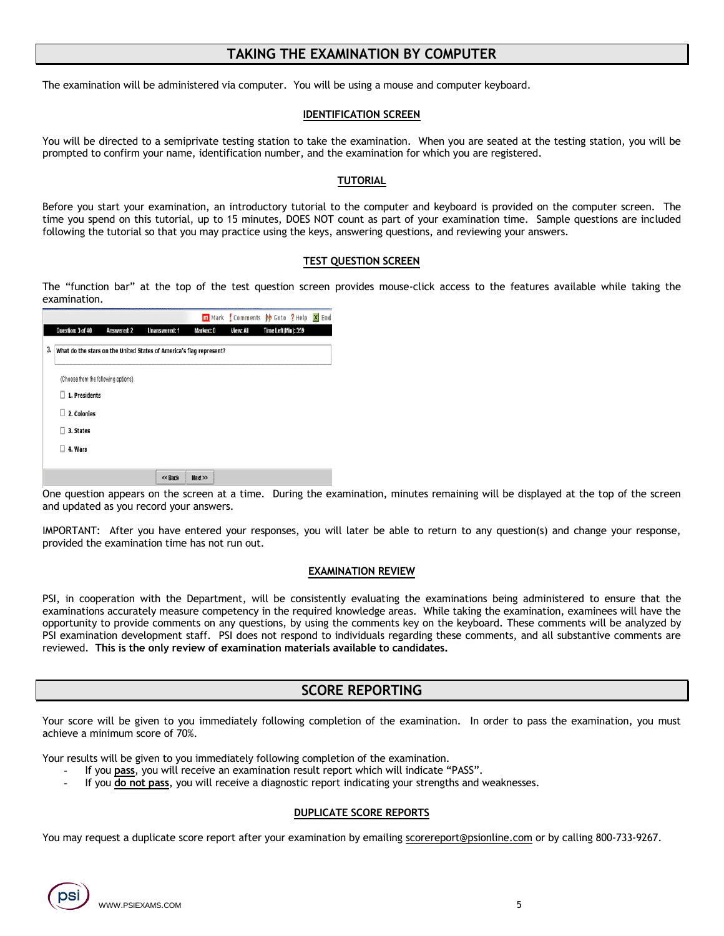## **TAKING THE EXAMINATION BY COMPUTER**

The examination will be administered via computer. You will be using a mouse and computer keyboard.

#### **IDENTIFICATION SCREEN**

You will be directed to a semiprivate testing station to take the examination. When you are seated at the testing station, you will be prompted to confirm your name, identification number, and the examination for which you are registered.

#### **TUTORIAL**

Before you start your examination, an introductory tutorial to the computer and keyboard is provided on the computer screen. The time you spend on this tutorial, up to 15 minutes, DOES NOT count as part of your examination time. Sample questions are included following the tutorial so that you may practice using the keys, answering questions, and reviewing your answers.

#### **TEST QUESTION SCREEN**

The "function bar" at the top of the test question screen provides mouse-click access to the features available while taking the examination.

|    |                                                                     |             |               |           | m Mark Comments be Goto ? Help X End |                     |  |
|----|---------------------------------------------------------------------|-------------|---------------|-----------|--------------------------------------|---------------------|--|
|    | Question: 3 of 40                                                   | Answered: 2 | Unanswered: 1 | Marked: 0 | View: All                            | Time Left(Min): 359 |  |
| 3, | What do the stars on the United States of America's flag represent? |             |               |           |                                      |                     |  |
|    | (Choose from the following options)                                 |             |               |           |                                      |                     |  |
|    | 1. Presidents                                                       |             |               |           |                                      |                     |  |
|    | Π<br>2. Colonies                                                    |             |               |           |                                      |                     |  |
|    | 3. States                                                           |             |               |           |                                      |                     |  |
|    | 4. Wars<br>Ш                                                        |             |               |           |                                      |                     |  |
|    |                                                                     |             |               |           |                                      |                     |  |
|    |                                                                     |             | << Back       | Next      |                                      |                     |  |

One question appears on the screen at a time. During the examination, minutes remaining will be displayed at the top of the screen and updated as you record your answers.

IMPORTANT: After you have entered your responses, you will later be able to return to any question(s) and change your response, provided the examination time has not run out.

#### **EXAMINATION REVIEW**

PSI, in cooperation with the Department, will be consistently evaluating the examinations being administered to ensure that the examinations accurately measure competency in the required knowledge areas. While taking the examination, examinees will have the opportunity to provide comments on any questions, by using the comments key on the keyboard. These comments will be analyzed by PSI examination development staff. PSI does not respond to individuals regarding these comments, and all substantive comments are reviewed. **This is the only review of examination materials available to candidates.**

### **SCORE REPORTING**

Your score will be given to you immediately following completion of the examination. In order to pass the examination, you must achieve a minimum score of 70%.

Your results will be given to you immediately following completion of the examination.

- If you **pass**, you will receive an examination result report which will indicate "PASS".
- If you **do not pass**, you will receive a diagnostic report indicating your strengths and weaknesses.

#### **DUPLICATE SCORE REPORTS**

You may request a duplicate score report after your examination by emailing [scorereport@psionline.com](mailto:scorereport@psionline.com) or by calling 800-733-9267.

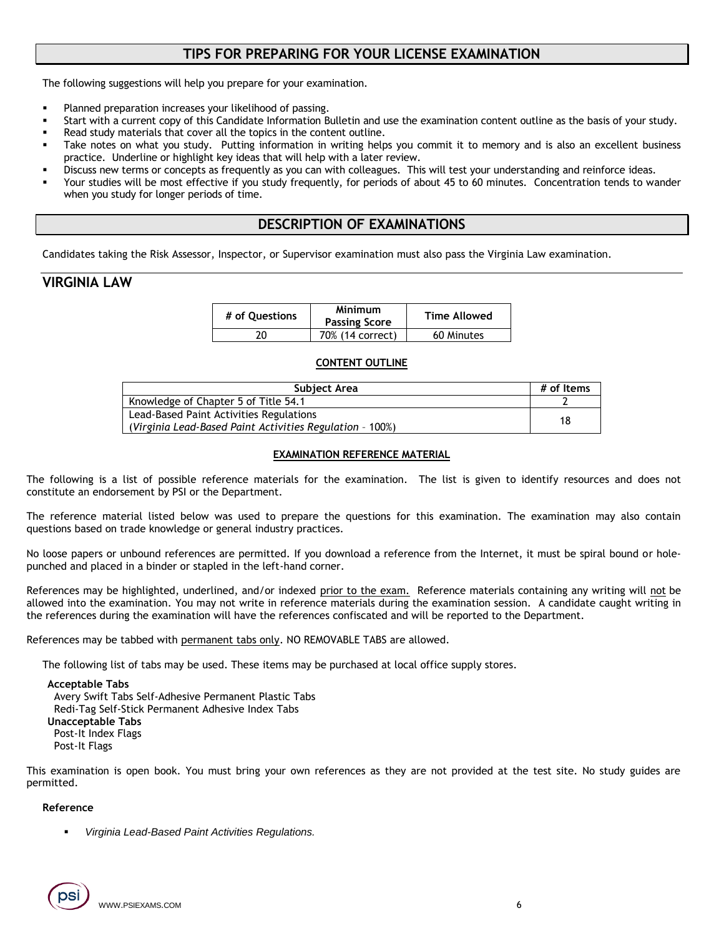## **TIPS FOR PREPARING FOR YOUR LICENSE EXAMINATION**

The following suggestions will help you prepare for your examination.

- Planned preparation increases your likelihood of passing.
- Start with a current copy of this Candidate Information Bulletin and use the examination content outline as the basis of your study.
- Read study materials that cover all the topics in the content outline.
- Take notes on what you study. Putting information in writing helps you commit it to memory and is also an excellent business practice. Underline or highlight key ideas that will help with a later review.
- Discuss new terms or concepts as frequently as you can with colleagues. This will test your understanding and reinforce ideas.
- Your studies will be most effective if you study frequently, for periods of about 45 to 60 minutes. Concentration tends to wander when you study for longer periods of time.

## **DESCRIPTION OF EXAMINATIONS**

Candidates taking the Risk Assessor, Inspector, or Supervisor examination must also pass the Virginia Law examination.

## **VIRGINIA LAW**

| # of Ouestions | <b>Minimum</b><br><b>Passing Score</b> | <b>Time Allowed</b> |
|----------------|----------------------------------------|---------------------|
|                | 70% (14 correct)                       | 60 Minutes          |

#### **CONTENT OUTLINE**

| Subject Area                                             |    |  |  |  |
|----------------------------------------------------------|----|--|--|--|
| Knowledge of Chapter 5 of Title 54.1                     |    |  |  |  |
| Lead-Based Paint Activities Regulations                  | 18 |  |  |  |
| (Virginia Lead-Based Paint Activities Regulation - 100%) |    |  |  |  |

#### **EXAMINATION REFERENCE MATERIAL**

The following is a list of possible reference materials for the examination. The list is given to identify resources and does not constitute an endorsement by PSI or the Department.

The reference material listed below was used to prepare the questions for this examination. The examination may also contain questions based on trade knowledge or general industry practices.

No loose papers or unbound references are permitted. If you download a reference from the Internet, it must be spiral bound or holepunched and placed in a binder or stapled in the left-hand corner.

References may be highlighted, underlined, and/or indexed prior to the exam. Reference materials containing any writing will not be allowed into the examination. You may not write in reference materials during the examination session. A candidate caught writing in the references during the examination will have the references confiscated and will be reported to the Department.

References may be tabbed with permanent tabs only. NO REMOVABLE TABS are allowed.

The following list of tabs may be used. These items may be purchased at local office supply stores.

#### **Acceptable Tabs**

 Avery Swift Tabs Self-Adhesive Permanent Plastic Tabs Redi-Tag Self-Stick Permanent Adhesive Index Tabs **Unacceptable Tabs**  Post-It Index Flags Post-It Flags

This examination is open book. You must bring your own references as they are not provided at the test site. No study guides are permitted.

#### **Reference**

▪ *Virginia Lead-Based Paint Activities Regulations.*

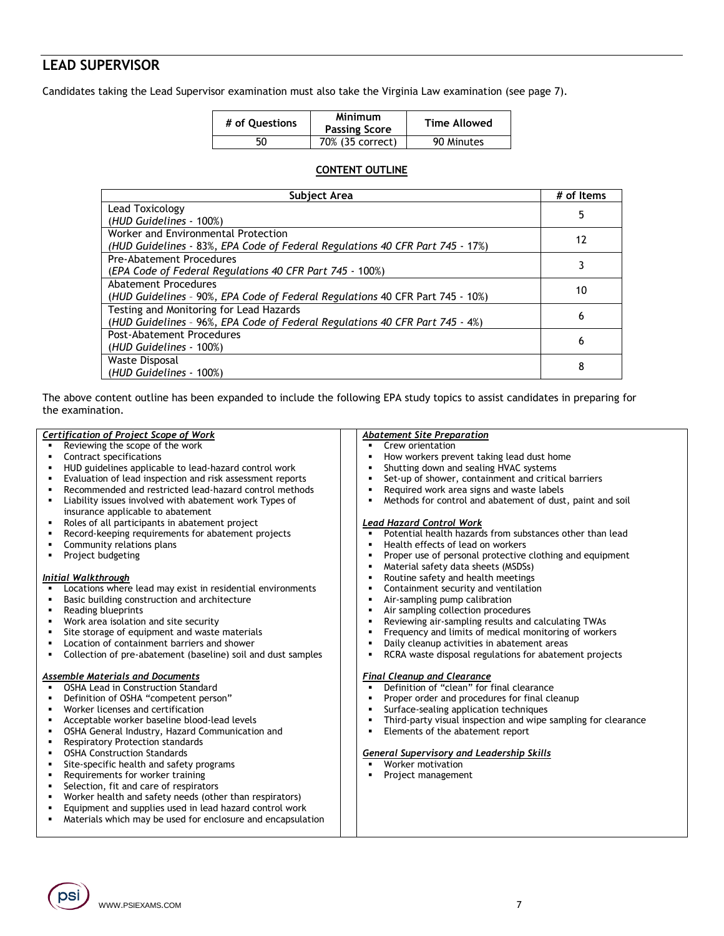## **LEAD SUPERVISOR**

Candidates taking the Lead Supervisor examination must also take the Virginia Law examination (see page 7).

| # of Ouestions | Minimum<br><b>Passing Score</b> | Time Allowed |
|----------------|---------------------------------|--------------|
| 50             | 70% (35 correct)                | 90 Minutes   |

### **CONTENT OUTLINE**

| Subject Area                                                                  |    |  |  |  |
|-------------------------------------------------------------------------------|----|--|--|--|
| Lead Toxicology                                                               | 5  |  |  |  |
| (HUD Guidelines - 100%)                                                       |    |  |  |  |
| Worker and Environmental Protection                                           | 12 |  |  |  |
| (HUD Guidelines - 83%, EPA Code of Federal Regulations 40 CFR Part 745 - 17%) |    |  |  |  |
| Pre-Abatement Procedures                                                      |    |  |  |  |
| (EPA Code of Federal Regulations 40 CFR Part 745 - 100%)                      |    |  |  |  |
| Abatement Procedures                                                          | 10 |  |  |  |
| (HUD Guidelines - 90%, EPA Code of Federal Regulations 40 CFR Part 745 - 10%) |    |  |  |  |
| Testing and Monitoring for Lead Hazards                                       | 6  |  |  |  |
| (HUD Guidelines - 96%, EPA Code of Federal Regulations 40 CFR Part 745 - 4%)  |    |  |  |  |
| Post-Abatement Procedures                                                     | 6  |  |  |  |
| (HUD Guidelines - 100%)                                                       |    |  |  |  |
| Waste Disposal                                                                | 8  |  |  |  |
| (HUD Guidelines - 100%)                                                       |    |  |  |  |

The above content outline has been expanded to include the following EPA study topics to assist candidates in preparing for the examination.

|                | Certification of Project Scope of Work                       | <b>Abatement Site Preparation</b>                             |
|----------------|--------------------------------------------------------------|---------------------------------------------------------------|
|                | Reviewing the scope of the work                              | Crew orientation<br>$\blacksquare$                            |
| ٠              | Contract specifications                                      | How workers prevent taking lead dust home                     |
| ٠              | HUD guidelines applicable to lead-hazard control work        | Shutting down and sealing HVAC systems                        |
| ٠              | Evaluation of lead inspection and risk assessment reports    | Set-up of shower, containment and critical barriers           |
| $\blacksquare$ | Recommended and restricted lead-hazard control methods       | Required work area signs and waste labels                     |
| ٠              | Liability issues involved with abatement work Types of       | Methods for control and abatement of dust, paint and soil     |
|                | insurance applicable to abatement                            |                                                               |
| ٠              | Roles of all participants in abatement project               | <b>Lead Hazard Control Work</b>                               |
|                | Record-keeping requirements for abatement projects           | Potential health hazards from substances other than lead      |
|                | Community relations plans                                    | Health effects of lead on workers                             |
|                | Project budgeting                                            | Proper use of personal protective clothing and equipment      |
|                |                                                              | Material safety data sheets (MSDSs)                           |
|                | Initial Walkthrough                                          | Routine safety and health meetings                            |
|                | Locations where lead may exist in residential environments   | Containment security and ventilation                          |
|                | Basic building construction and architecture                 | Air-sampling pump calibration                                 |
|                | Reading blueprints                                           | Air sampling collection procedures                            |
| ٠              | Work area isolation and site security                        | Reviewing air-sampling results and calculating TWAs           |
|                | Site storage of equipment and waste materials                | Frequency and limits of medical monitoring of workers         |
|                | Location of containment barriers and shower                  | Daily cleanup activities in abatement areas                   |
| ٠              | Collection of pre-abatement (baseline) soil and dust samples | RCRA waste disposal regulations for abatement projects        |
|                | <b>Assemble Materials and Documents</b>                      | <b>Final Cleanup and Clearance</b>                            |
|                | <b>OSHA Lead in Construction Standard</b>                    | Definition of "clean" for final clearance<br>$\blacksquare$   |
| $\blacksquare$ | Definition of OSHA "competent person"                        | Proper order and procedures for final cleanup                 |
| ٠              | Worker licenses and certification                            | Surface-sealing application techniques                        |
| ٠              | Acceptable worker baseline blood-lead levels                 | Third-party visual inspection and wipe sampling for clearance |
| ٠              | OSHA General Industry, Hazard Communication and              | Elements of the abatement report                              |
| ٠              | <b>Respiratory Protection standards</b>                      |                                                               |
| ٠              | <b>OSHA Construction Standards</b>                           | <b>General Supervisory and Leadership Skills</b>              |
| ٠              | Site-specific health and safety programs                     | Worker motivation                                             |
| ٠              | Requirements for worker training                             | Project management                                            |
| $\blacksquare$ | Selection, fit and care of respirators                       |                                                               |
| $\blacksquare$ | Worker health and safety needs (other than respirators)      |                                                               |
|                | Equipment and supplies used in lead hazard control work      |                                                               |
|                | Materials which may be used for enclosure and encapsulation  |                                                               |
|                |                                                              |                                                               |

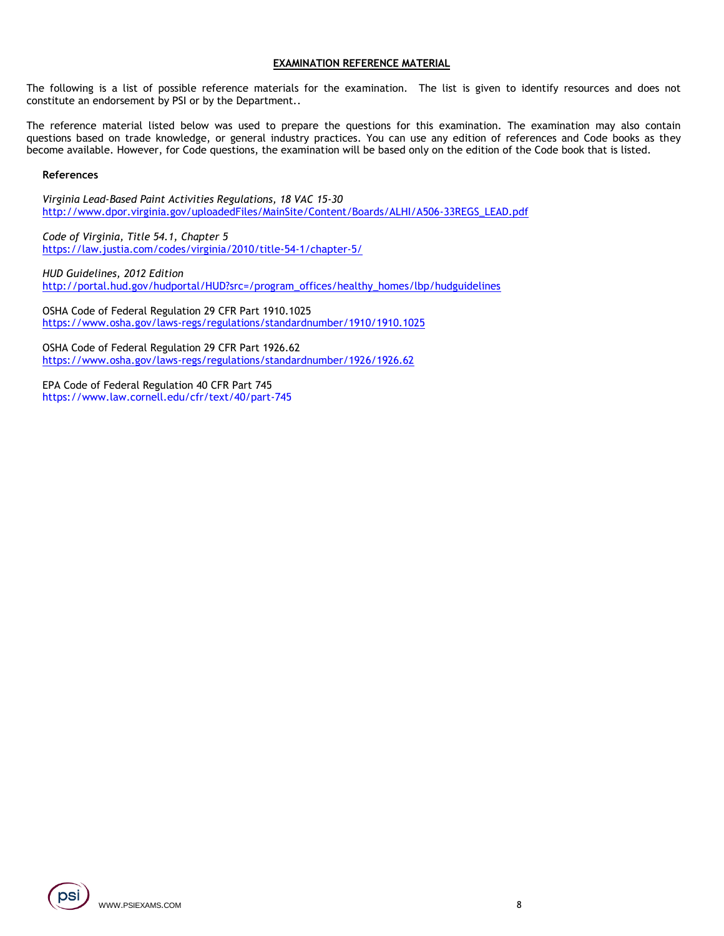#### **EXAMINATION REFERENCE MATERIAL**

The following is a list of possible reference materials for the examination. The list is given to identify resources and does not constitute an endorsement by PSI or by the Department..

The reference material listed below was used to prepare the questions for this examination. The examination may also contain questions based on trade knowledge, or general industry practices. You can use any edition of references and Code books as they become available. However, for Code questions, the examination will be based only on the edition of the Code book that is listed.

#### **References**

*Virginia Lead-Based Paint Activities Regulations, 18 VAC 15-30* [http://www.dpor.virginia.gov/uploadedFiles/MainSite/Content/Boards/ALHI/A506-33REGS\\_LEAD.pdf](http://www.dpor.virginia.gov/uploadedFiles/MainSite/Content/Boards/ALHI/A506-33REGS_LEAD.pdf)

*Code of Virginia, Title 54.1, Chapter 5* <https://law.justia.com/codes/virginia/2010/title-54-1/chapter-5/>

*HUD Guidelines, 2012 Edition* [http://portal.hud.gov/hudportal/HUD?src=/program\\_offices/healthy\\_homes/lbp/hudguidelines](http://portal.hud.gov/hudportal/HUD?src=/program_offices/healthy_homes/lbp/hudguidelines)

OSHA Code of Federal Regulation 29 CFR Part 1910.1025 <https://www.osha.gov/laws-regs/regulations/standardnumber/1910/1910.1025>

OSHA Code of Federal Regulation 29 CFR Part 1926.62 <https://www.osha.gov/laws-regs/regulations/standardnumber/1926/1926.62>

EPA Code of Federal Regulation 40 CFR Part 745 https://www.law.cornell.edu/cfr/text/40/part-745

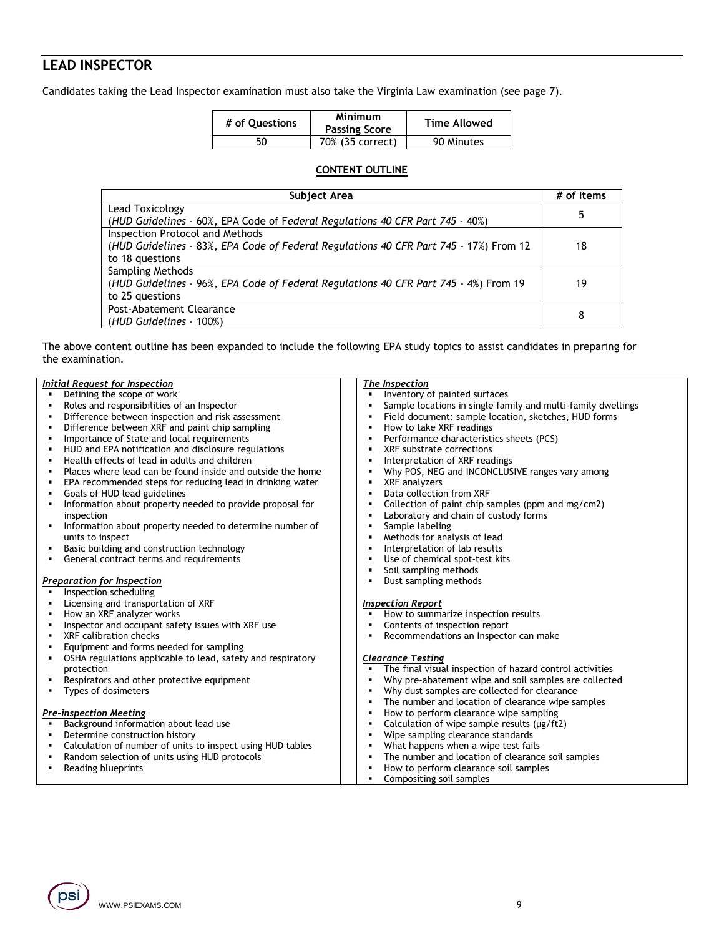## **LEAD INSPECTOR**

Candidates taking the Lead Inspector examination must also take the Virginia Law examination (see page 7).

| # of Ouestions | Minimum<br><b>Passing Score</b> | <b>Time Allowed</b> |
|----------------|---------------------------------|---------------------|
| 50             | 70% (35 correct)                | 90 Minutes          |

#### **CONTENT OUTLINE**

| Subject Area                                                                          |    |  |  |
|---------------------------------------------------------------------------------------|----|--|--|
| Lead Toxicology                                                                       | 5  |  |  |
| (HUD Guidelines - 60%, EPA Code of Federal Regulations 40 CFR Part 745 - 40%)         |    |  |  |
| Inspection Protocol and Methods                                                       |    |  |  |
| (HUD Guidelines - 83%, EPA Code of Federal Regulations 40 CFR Part 745 - 17%) From 12 | 18 |  |  |
| to 18 questions                                                                       |    |  |  |
| <b>Sampling Methods</b>                                                               |    |  |  |
| (HUD Guidelines - 96%, EPA Code of Federal Regulations 40 CFR Part 745 - 4%) From 19  | 19 |  |  |
| to 25 questions                                                                       |    |  |  |
| Post-Abatement Clearance                                                              |    |  |  |
| (HUD Guidelines - 100%)                                                               | 8  |  |  |

The above content outline has been expanded to include the following EPA study topics to assist candidates in preparing for the examination.

|   | Initial Request for Inspection                              |                | The Inspection                                               |
|---|-------------------------------------------------------------|----------------|--------------------------------------------------------------|
|   | Defining the scope of work                                  | $\blacksquare$ | Inventory of painted surfaces                                |
|   | Roles and responsibilities of an Inspector                  | $\blacksquare$ | Sample locations in single family and multi-family dwellings |
|   | Difference between inspection and risk assessment           | л              | Field document: sample location, sketches, HUD forms         |
|   | Difference between XRF and paint chip sampling              | ٠              | How to take XRF readings                                     |
|   | Importance of State and local requirements                  | ٠              | Performance characteristics sheets (PCS)                     |
|   | HUD and EPA notification and disclosure regulations         | $\blacksquare$ | XRF substrate corrections                                    |
|   | Health effects of lead in adults and children               | п              | Interpretation of XRF readings                               |
|   | Places where lead can be found inside and outside the home  | л              | Why POS, NEG and INCONCLUSIVE ranges vary among              |
|   | EPA recommended steps for reducing lead in drinking water   | ٠              | XRF analyzers                                                |
|   | Goals of HUD lead guidelines                                | $\blacksquare$ | Data collection from XRF                                     |
| ٠ | Information about property needed to provide proposal for   | ٠              | Collection of paint chip samples (ppm and mg/cm2)            |
|   | inspection                                                  | $\blacksquare$ | Laboratory and chain of custody forms                        |
| ٠ | Information about property needed to determine number of    | $\blacksquare$ | Sample labeling                                              |
|   | units to inspect                                            | п              | Methods for analysis of lead                                 |
| ٠ | Basic building and construction technology                  | л              | Interpretation of lab results                                |
| ٠ | General contract terms and requirements                     | $\blacksquare$ | Use of chemical spot-test kits                               |
|   |                                                             | $\blacksquare$ | Soil sampling methods                                        |
|   | <b>Preparation for Inspection</b>                           | ٠              | Dust sampling methods                                        |
|   | Inspection scheduling                                       |                |                                                              |
|   | Licensing and transportation of XRF                         |                | <b>Inspection Report</b>                                     |
|   | How an XRF analyzer works                                   | ٠              | How to summarize inspection results                          |
|   | Inspector and occupant safety issues with XRF use           | ٠              | Contents of inspection report                                |
|   | XRF calibration checks                                      | ٠              | Recommendations an Inspector can make                        |
|   | Equipment and forms needed for sampling                     |                |                                                              |
| ٠ | OSHA regulations applicable to lead, safety and respiratory |                | <b>Clearance Testing</b>                                     |
|   | protection                                                  | ٠              | The final visual inspection of hazard control activities     |
| ٠ | Respirators and other protective equipment                  | ٠              | Why pre-abatement wipe and soil samples are collected        |
|   | Types of dosimeters                                         | ٠              | Why dust samples are collected for clearance                 |
|   |                                                             | ٠              | The number and location of clearance wipe samples            |
|   | <b>Pre-inspection Meeting</b>                               | ٠              | How to perform clearance wipe sampling                       |
|   | Background information about lead use                       | ٠              | Calculation of wipe sample results ( $\mu$ g/ft2)            |
| ٠ | Determine construction history                              | $\blacksquare$ | Wipe sampling clearance standards                            |
| ٠ | Calculation of number of units to inspect using HUD tables  | $\blacksquare$ | What happens when a wipe test fails                          |
| ٠ | Random selection of units using HUD protocols               | $\blacksquare$ | The number and location of clearance soil samples            |
| ٠ | Reading blueprints                                          | л              | How to perform clearance soil samples                        |
|   |                                                             | $\blacksquare$ | Compositing soil samples                                     |

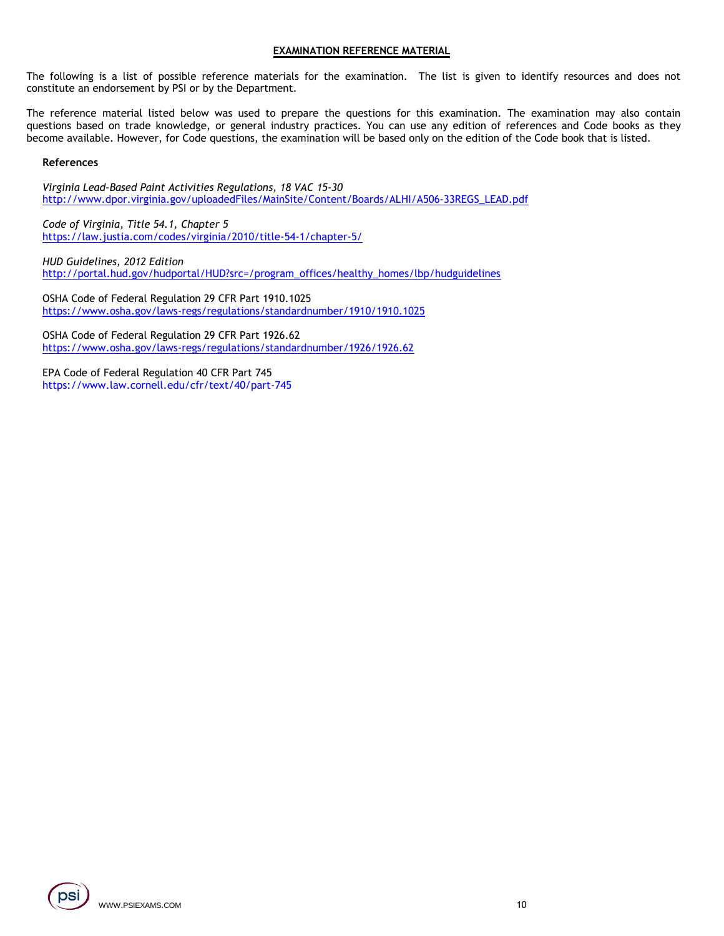#### **EXAMINATION REFERENCE MATERIAL**

The following is a list of possible reference materials for the examination. The list is given to identify resources and does not constitute an endorsement by PSI or by the Department.

The reference material listed below was used to prepare the questions for this examination. The examination may also contain questions based on trade knowledge, or general industry practices. You can use any edition of references and Code books as they become available. However, for Code questions, the examination will be based only on the edition of the Code book that is listed.

#### **References**

*Virginia Lead-Based Paint Activities Regulations, 18 VAC 15-30* [http://www.dpor.virginia.gov/uploadedFiles/MainSite/Content/Boards/ALHI/A506-33REGS\\_LEAD.pdf](http://www.dpor.virginia.gov/uploadedFiles/MainSite/Content/Boards/ALHI/A506-33REGS_LEAD.pdf)

*Code of Virginia, Title 54.1, Chapter 5* <https://law.justia.com/codes/virginia/2010/title-54-1/chapter-5/>

*HUD Guidelines, 2012 Edition* [http://portal.hud.gov/hudportal/HUD?src=/program\\_offices/healthy\\_homes/lbp/hudguidelines](http://portal.hud.gov/hudportal/HUD?src=/program_offices/healthy_homes/lbp/hudguidelines)

OSHA Code of Federal Regulation 29 CFR Part 1910.1025 <https://www.osha.gov/laws-regs/regulations/standardnumber/1910/1910.1025>

OSHA Code of Federal Regulation 29 CFR Part 1926.62 <https://www.osha.gov/laws-regs/regulations/standardnumber/1926/1926.62>

EPA Code of Federal Regulation 40 CFR Part 745 https://www.law.cornell.edu/cfr/text/40/part-745

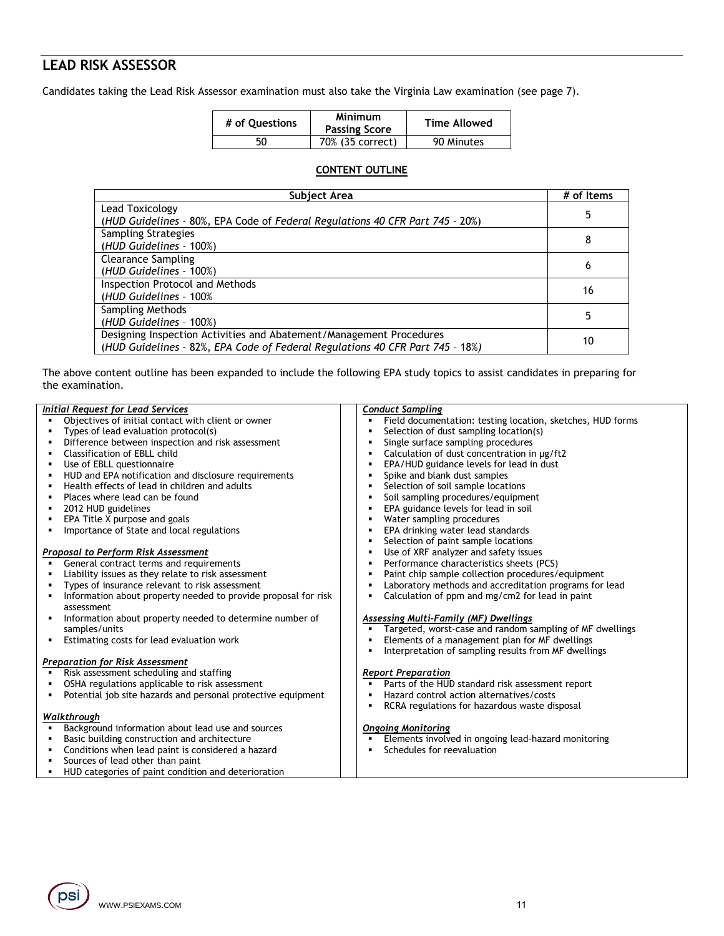## **LEAD RISK ASSESSOR**

Candidates taking the Lead Risk Assessor examination must also take the Virginia Law examination (see page 7).

| # of Ouestions | Minimum<br><b>Passing Score</b> | Time Allowed |
|----------------|---------------------------------|--------------|
| 50             | 70% (35 correct)                | 90 Minutes   |

### **CONTENT OUTLINE**

| Subject Area                                                                  | # of Items |
|-------------------------------------------------------------------------------|------------|
| Lead Toxicology                                                               |            |
| (HUD Guidelines - 80%, EPA Code of Federal Regulations 40 CFR Part 745 - 20%) |            |
| <b>Sampling Strategies</b>                                                    | 8          |
| (HUD Guidelines - 100%)                                                       |            |
| <b>Clearance Sampling</b>                                                     |            |
| (HUD Guidelines - 100%)                                                       | 6          |
| <b>Inspection Protocol and Methods</b>                                        | 16         |
| (HUD Guidelines - 100%)                                                       |            |
| Sampling Methods                                                              |            |
| (HUD Guidelines - 100%)                                                       |            |
| Designing Inspection Activities and Abatement/Management Procedures           | 10         |
| (HUD Guidelines - 82%, EPA Code of Federal Regulations 40 CFR Part 745 - 18%) |            |

The above content outline has been expanded to include the following EPA study topics to assist candidates in preparing for the examination.

|   | <b>Initial Request for Lead Services</b>                       | <b>Conduct Sampling</b>                                                    |
|---|----------------------------------------------------------------|----------------------------------------------------------------------------|
|   | Objectives of initial contact with client or owner             | Field documentation: testing location, sketches, HUD forms<br>٠            |
|   | Types of lead evaluation protocol(s)                           | Selection of dust sampling location(s)<br>٠                                |
|   | Difference between inspection and risk assessment              | Single surface sampling procedures<br>$\blacksquare$                       |
|   | Classification of EBLL child                                   | Calculation of dust concentration in µg/ft2<br>$\blacksquare$              |
|   | Use of EBLL questionnaire                                      | EPA/HUD guidance levels for lead in dust<br>٠                              |
| ٠ | HUD and EPA notification and disclosure requirements           | Spike and blank dust samples<br>$\blacksquare$                             |
|   | Health effects of lead in children and adults                  | Selection of soil sample locations<br>٠                                    |
|   | Places where lead can be found                                 | Soil sampling procedures/equipment<br>$\blacksquare$                       |
|   | 2012 HUD guidelines                                            | EPA guidance levels for lead in soil<br>$\blacksquare$                     |
|   | EPA Title X purpose and goals                                  | Water sampling procedures<br>٠                                             |
| ٠ | Importance of State and local regulations                      | EPA drinking water lead standards<br>٠                                     |
|   |                                                                | Selection of paint sample locations<br>٠                                   |
|   | <b>Proposal to Perform Risk Assessment</b>                     | Use of XRF analyzer and safety issues<br>$\blacksquare$                    |
|   | General contract terms and requirements                        | Performance characteristics sheets (PCS)<br>$\blacksquare$                 |
|   | Liability issues as they relate to risk assessment             | Paint chip sample collection procedures/equipment<br>٠                     |
|   | Types of insurance relevant to risk assessment                 | Laboratory methods and accreditation programs for lead<br>٠                |
| ٠ | Information about property needed to provide proposal for risk | Calculation of ppm and mg/cm2 for lead in paint<br>٠                       |
|   | assessment                                                     |                                                                            |
|   | Information about property needed to determine number of       | <b>Assessing Multi-Family (MF) Dwellings</b>                               |
|   | samples/units                                                  | Targeted, worst-case and random sampling of MF dwellings<br>$\blacksquare$ |
| ٠ | Estimating costs for lead evaluation work                      | Elements of a management plan for MF dwellings<br>$\blacksquare$           |
|   |                                                                | Interpretation of sampling results from MF dwellings<br>٠                  |
|   | <b>Preparation for Risk Assessment</b>                         |                                                                            |
|   | Risk assessment scheduling and staffing                        | <b>Report Preparation</b>                                                  |
|   | OSHA regulations applicable to risk assessment                 | Parts of the HUD standard risk assessment report<br>$\blacksquare$         |
| ٠ | Potential job site hazards and personal protective equipment   | Hazard control action alternatives/costs<br>$\blacksquare$                 |
|   |                                                                | RCRA regulations for hazardous waste disposal<br>$\blacksquare$            |
|   | Walkthrough                                                    |                                                                            |
|   | Background information about lead use and sources              | <b>Ongoing Monitoring</b>                                                  |
|   | Basic building construction and architecture                   | Elements involved in ongoing lead-hazard monitoring<br>٠                   |
|   | Conditions when lead paint is considered a hazard              | Schedules for reevaluation                                                 |
|   | Sources of lead other than paint                               |                                                                            |
|   | HUD categories of paint condition and deterioration            |                                                                            |

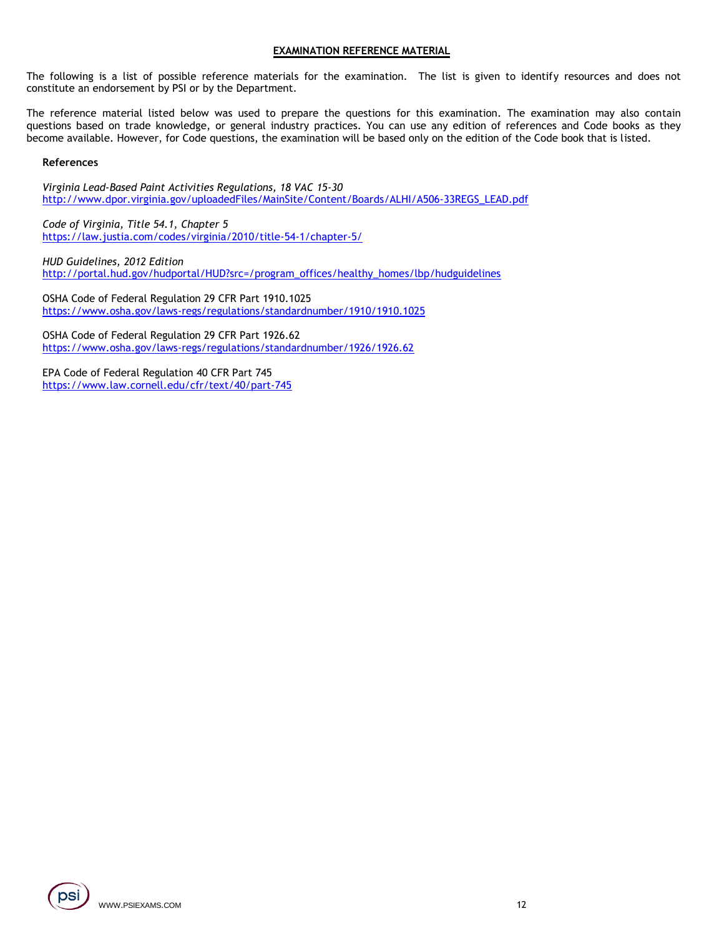#### **EXAMINATION REFERENCE MATERIAL**

The following is a list of possible reference materials for the examination. The list is given to identify resources and does not constitute an endorsement by PSI or by the Department.

The reference material listed below was used to prepare the questions for this examination. The examination may also contain questions based on trade knowledge, or general industry practices. You can use any edition of references and Code books as they become available. However, for Code questions, the examination will be based only on the edition of the Code book that is listed.

#### **References**

*Virginia Lead-Based Paint Activities Regulations, 18 VAC 15-30* [http://www.dpor.virginia.gov/uploadedFiles/MainSite/Content/Boards/ALHI/A506-33REGS\\_LEAD.pdf](http://www.dpor.virginia.gov/uploadedFiles/MainSite/Content/Boards/ALHI/A506-33REGS_LEAD.pdf)

*Code of Virginia, Title 54.1, Chapter 5* <https://law.justia.com/codes/virginia/2010/title-54-1/chapter-5/>

*HUD Guidelines, 2012 Edition* [http://portal.hud.gov/hudportal/HUD?src=/program\\_offices/healthy\\_homes/lbp/hudguidelines](http://portal.hud.gov/hudportal/HUD?src=/program_offices/healthy_homes/lbp/hudguidelines)

OSHA Code of Federal Regulation 29 CFR Part 1910.1025 <https://www.osha.gov/laws-regs/regulations/standardnumber/1910/1910.1025>

OSHA Code of Federal Regulation 29 CFR Part 1926.62 <https://www.osha.gov/laws-regs/regulations/standardnumber/1926/1926.62>

EPA Code of Federal Regulation 40 CFR Part 745 <https://www.law.cornell.edu/cfr/text/40/part-745>

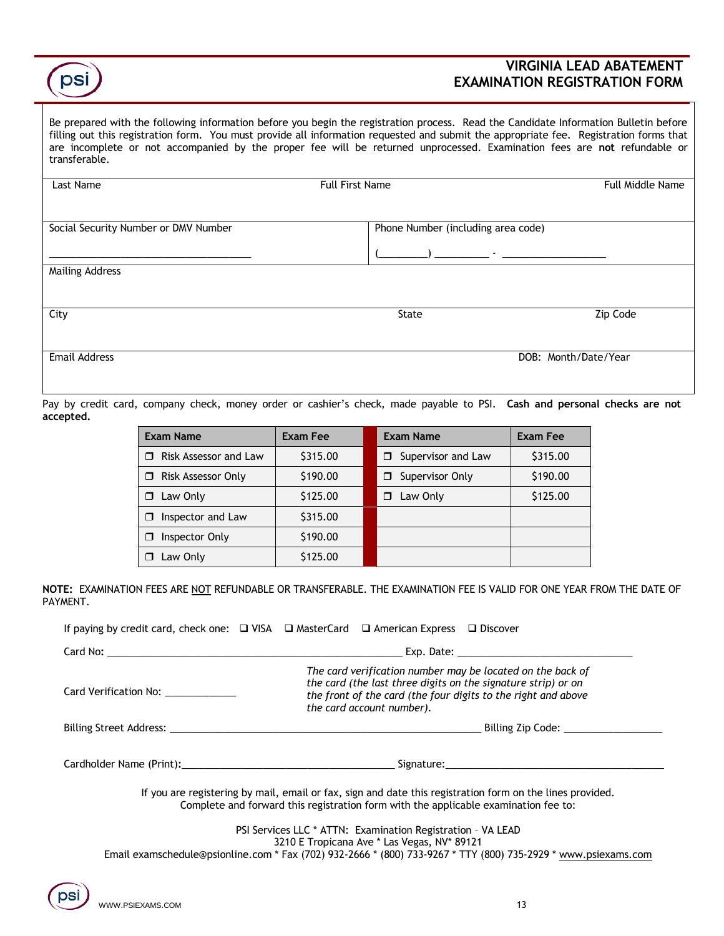## **VIRGINIA LEAD ABATEMENT EXAMINATION REGISTRATION FORM**

Be prepared with the following information before you begin the registration process. Read the Candidate Information Bulletin before filling out this registration form. You must provide all information requested and submit the appropriate fee.Registration forms that are incomplete or not accompanied by the proper fee will be returned unprocessed. Examination fees are **not** refundable or transferable.

| Last Name                            | <b>Full First Name</b>             | <b>Full Middle Name</b> |
|--------------------------------------|------------------------------------|-------------------------|
|                                      |                                    |                         |
|                                      |                                    |                         |
| Social Security Number or DMV Number | Phone Number (including area code) |                         |
|                                      |                                    |                         |
|                                      |                                    |                         |
| <b>Mailing Address</b>               |                                    |                         |
|                                      |                                    |                         |
|                                      |                                    |                         |
| City                                 | State                              | Zip Code                |
|                                      |                                    |                         |
|                                      |                                    |                         |
| <b>Email Address</b>                 | DOB: Month/Date/Year               |                         |

Pay by credit card, company check, money order or cashier's check, made payable to PSI. **Cash and personal checks are not accepted.**

| <b>Exam Name</b>        | <b>Exam Fee</b> | <b>Exam Name</b>        | Exam Fee |
|-------------------------|-----------------|-------------------------|----------|
| Risk Assessor and Law   | \$315.00        | Supervisor and Law<br>⊓ | \$315.00 |
| Risk Assessor Only<br>⊓ | \$190.00        | Supervisor Only<br>⊓    | \$190.00 |
| Law Only<br>⊓           | \$125.00        | Law Only<br>⊓           | \$125.00 |
| Inspector and Law<br>П  | \$315.00        |                         |          |
| Inspector Only<br>П     | \$190.00        |                         |          |
| Law Only                | \$125.00        |                         |          |

**NOTE:** EXAMINATION FEES ARE NOT REFUNDABLE OR TRANSFERABLE. THE EXAMINATION FEE IS VALID FOR ONE YEAR FROM THE DATE OF PAYMENT.

|                                                                                                                                                                                                                               | If paying by credit card, check one: $\Box$ VISA $\Box$ MasterCard $\Box$ American Express $\Box$ Discover                                                                                                                |  |  |
|-------------------------------------------------------------------------------------------------------------------------------------------------------------------------------------------------------------------------------|---------------------------------------------------------------------------------------------------------------------------------------------------------------------------------------------------------------------------|--|--|
|                                                                                                                                                                                                                               |                                                                                                                                                                                                                           |  |  |
| Card Verification No:                                                                                                                                                                                                         | The card verification number may be located on the back of<br>the card (the last three digits on the signature strip) or on<br>the front of the card (the four digits to the right and above<br>the card account number). |  |  |
|                                                                                                                                                                                                                               |                                                                                                                                                                                                                           |  |  |
| Cardholder Name (Print): Name (Print) and the second state of the second state of the second state of the second state of the second state of the second state of the second state of the second state of the second state of |                                                                                                                                                                                                                           |  |  |

If you are registering by mail, email or fax, sign and date this registration form on the lines provided. Complete and forward this registration form with the applicable examination fee to:

> PSI Services LLC \* ATTN: Examination Registration – VA LEAD 3210 E Tropicana Ave \* Las Vegas, NV\* 89121

Email examschedule@psionline.com \* Fax (702) 932-2666 \* (800) 733-9267 \* TTY (800) 735-2929 \* [www.psiexams.com](http://www.psiexams.com/)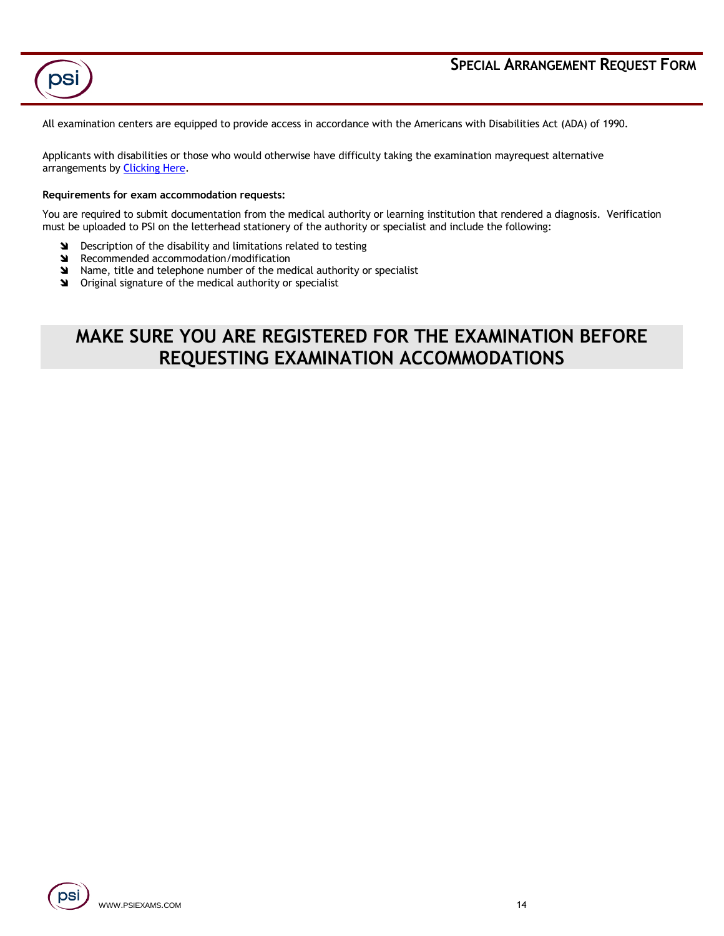

psi

All examination centers are equipped to provide access in accordance with the Americans with Disabilities Act (ADA) of 1990.

Applicants with disabilities or those who would otherwise have difficulty taking the examination mayrequest alternative arrangements by **Clicking Here.** 

#### **Requirements for exam accommodation requests:**

You are required to submit documentation from the medical authority or learning institution that rendered a diagnosis. Verification must be uploaded to PSI on the letterhead stationery of the authority or specialist and include the following:

- **S** Description of the disability and limitations related to testing
- **N** Recommended accommodation/modification
- Name, title and telephone number of the medical authority or specialist
- **SM** Original signature of the medical authority or specialist

# **MAKE SURE YOU ARE REGISTERED FOR THE EXAMINATION BEFORE REQUESTING EXAMINATION ACCOMMODATIONS**